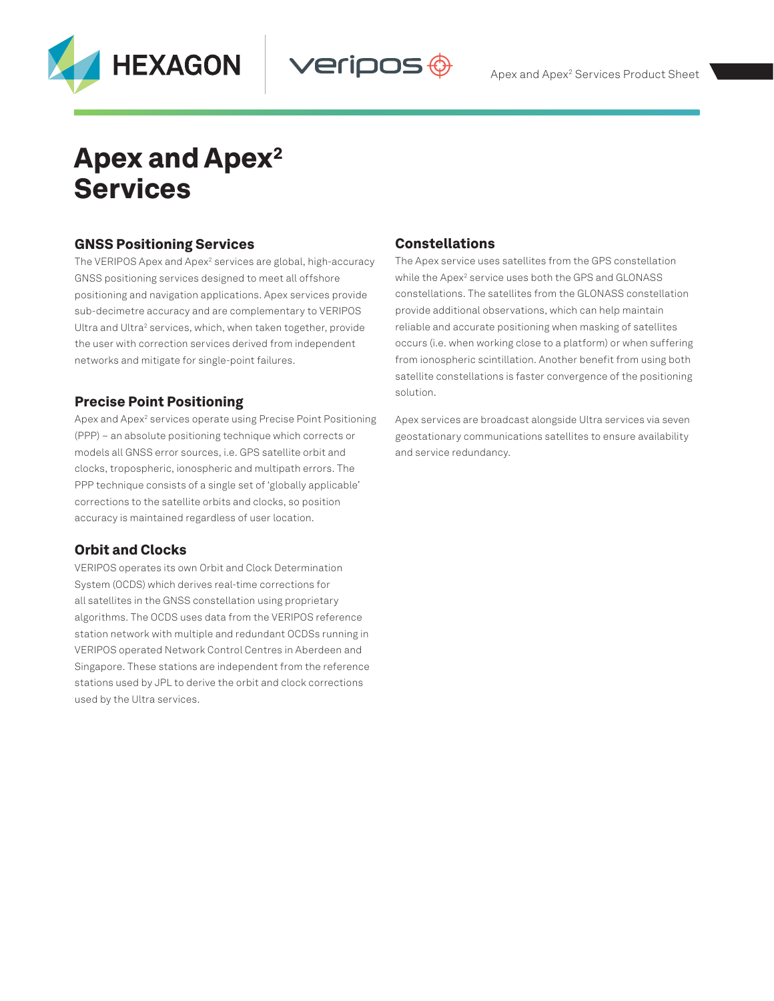



# Apex and Apex<sup>2</sup> Services

# GNSS Positioning Services

The VERIPOS Apex and Apex<sup>2</sup> services are global, high-accuracy GNSS positioning services designed to meet all offshore positioning and navigation applications. Apex services provide sub-decimetre accuracy and are complementary to VERIPOS Ultra and Ultra<sup>2</sup> services, which, when taken together, provide the user with correction services derived from independent networks and mitigate for single-point failures.

# Precise Point Positioning

Apex and Apex<sup>2</sup> services operate using Precise Point Positioning (PPP) – an absolute positioning technique which corrects or models all GNSS error sources, i.e. GPS satellite orbit and clocks, tropospheric, ionospheric and multipath errors. The PPP technique consists of a single set of 'globally applicable' corrections to the satellite orbits and clocks, so position accuracy is maintained regardless of user location.

# Orbit and Clocks

VERIPOS operates its own Orbit and Clock Determination System (OCDS) which derives real-time corrections for all satellites in the GNSS constellation using proprietary algorithms. The OCDS uses data from the VERIPOS reference station network with multiple and redundant OCDSs running in VERIPOS operated Network Control Centres in Aberdeen and Singapore. These stations are independent from the reference stations used by JPL to derive the orbit and clock corrections used by the Ultra services.

# Constellations

**Veripos** 

The Apex service uses satellites from the GPS constellation while the Apex<sup>2</sup> service uses both the GPS and GLONASS constellations. The satellites from the GLONASS constellation provide additional observations, which can help maintain reliable and accurate positioning when masking of satellites occurs (i.e. when working close to a platform) or when suffering from ionospheric scintillation. Another benefit from using both satellite constellations is faster convergence of the positioning solution.

Apex services are broadcast alongside Ultra services via seven geostationary communications satellites to ensure availability and service redundancy.